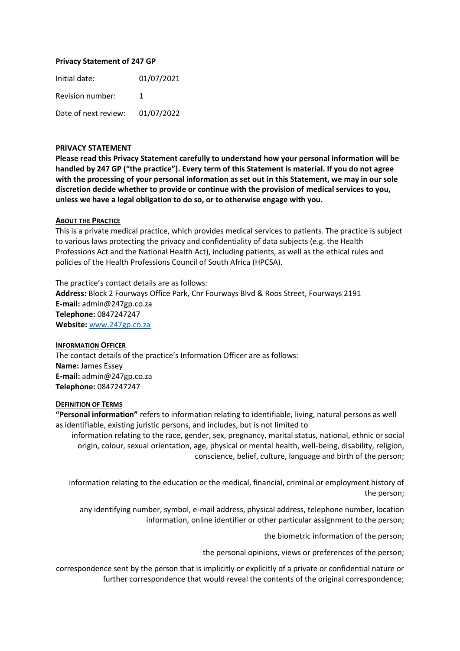### **Privacy Statement of 247 GP**

Initial date: 01/07/2021 Revision number: 1 Date of next review: 01/07/2022

## **PRIVACY STATEMENT**

**Please read this Privacy Statement carefully to understand how your personal information will be handled by 247 GP ("the practice"). Every term of this Statement is material. If you do not agree with the processing of your personal information as set out in this Statement, we may in our sole discretion decide whether to provide or continue with the provision of medical services to you, unless we have a legal obligation to do so, or to otherwise engage with you.** 

#### **ABOUT THE PRACTICE**

This is a private medical practice, which provides medical services to patients. The practice is subject to various laws protecting the privacy and confidentiality of data subjects (e.g. the Health Professions Act and the National Health Act), including patients, as well as the ethical rules and policies of the Health Professions Council of South Africa (HPCSA).

The practice's contact details are as follows: **Address:** Block 2 Fourways Office Park, Cnr Fourways Blvd & Roos Street, Fourways 2191 **E-mail:** admin@247gp.co.za **Telephone:** 0847247247 **Website:** [www.247gp.co.za](http://www.247gp.co.za/)

**INFORMATION OFFICER**  The contact details of the practice's Information Officer are as follows: **Name:** James Essey **E-mail:** admin@247gp.co.za **Telephone:** 0847247247

#### **DEFINITION OF TERMS**

**"Personal information"** refers to information relating to identifiable, living, natural persons as well as identifiable, existing juristic persons, and includes, but is not limited to

information relating to the race, gender, sex, pregnancy, marital status, national, ethnic or social origin, colour, sexual orientation, age, physical or mental health, well-being, disability, religion, conscience, belief, culture, language and birth of the person;

information relating to the education or the medical, financial, criminal or employment history of the person;

any identifying number, symbol, e-mail address, physical address, telephone number, location information, online identifier or other particular assignment to the person;

the biometric information of the person;

the personal opinions, views or preferences of the person;

correspondence sent by the person that is implicitly or explicitly of a private or confidential nature or further correspondence that would reveal the contents of the original correspondence;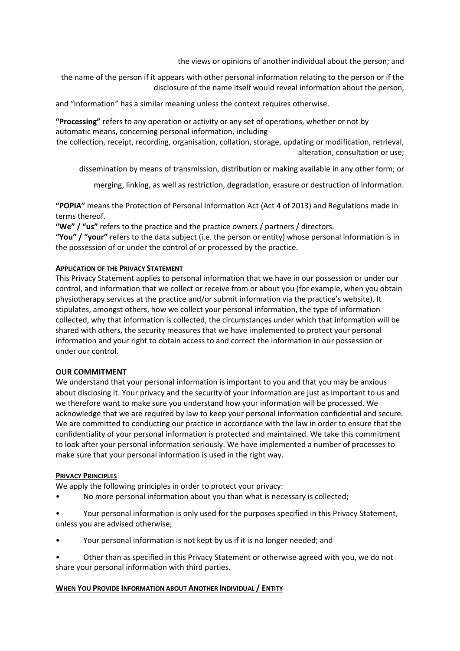the views or opinions of another individual about the person; and

the name of the person if it appears with other personal information relating to the person or if the disclosure of the name itself would reveal information about the person,

and "information" has a similar meaning unless the context requires otherwise.

**"Processing"** refers to any operation or activity or any set of operations, whether or not by automatic means, concerning personal information, including

the collection, receipt, recording, organisation, collation, storage, updating or modification, retrieval, alteration, consultation or use;

dissemination by means of transmission, distribution or making available in any other form; or

merging, linking, as well as restriction, degradation, erasure or destruction of information.

**"POPIA"** means the Protection of Personal Information Act (Act 4 of 2013) and Regulations made in terms thereof.

**"We" / "us"** refers to the practice and the practice owners / partners / directors.

**"You" / "your"** refers to the data subject (i.e. the person or entity) whose personal information is in the possession of or under the control of or processed by the practice.

### **APPLICATION OF THE PRIVACY STATEMENT**

This Privacy Statement applies to personal information that we have in our possession or under our control, and information that we collect or receive from or about you (for example, when you obtain physiotherapy services at the practice and/or submit information via the practice's website). It stipulates, amongst others, how we collect your personal information, the type of information collected, why that information is collected, the circumstances under which that information will be shared with others, the security measures that we have implemented to protect your personal information and your right to obtain access to and correct the information in our possession or under our control.

### **OUR COMMITMENT**

We understand that your personal information is important to you and that you may be anxious about disclosing it. Your privacy and the security of your information are just as important to us and we therefore want to make sure you understand how your information will be processed. We acknowledge that we are required by law to keep your personal information confidential and secure. We are committed to conducting our practice in accordance with the law in order to ensure that the confidentiality of your personal information is protected and maintained. We take this commitment to look after your personal information seriously. We have implemented a number of processes to make sure that your personal information is used in the right way.

#### **PRIVACY PRINCIPLES**

We apply the following principles in order to protect your privacy:

- No more personal information about you than what is necessary is collected;
- Your personal information is only used for the purposes specified in this Privacy Statement, unless you are advised otherwise;
- Your personal information is not kept by us if it is no longer needed; and

• Other than as specified in this Privacy Statement or otherwise agreed with you, we do not share your personal information with third parties.

# **WHEN YOU PROVIDE INFORMATION ABOUT ANOTHER INDIVIDUAL / ENTITY**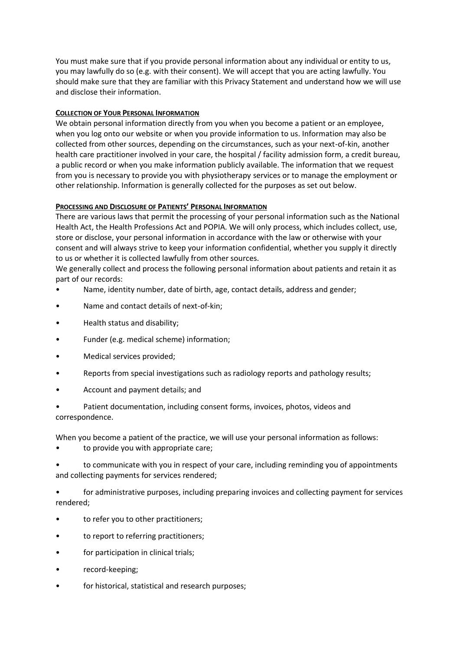You must make sure that if you provide personal information about any individual or entity to us, you may lawfully do so (e.g. with their consent). We will accept that you are acting lawfully. You should make sure that they are familiar with this Privacy Statement and understand how we will use and disclose their information.

# **COLLECTION OF YOUR PERSONAL INFORMATION**

We obtain personal information directly from you when you become a patient or an employee, when you log onto our website or when you provide information to us. Information may also be collected from other sources, depending on the circumstances, such as your next-of-kin, another health care practitioner involved in your care, the hospital / facility admission form, a credit bureau, a public record or when you make information publicly available. The information that we request from you is necessary to provide you with physiotherapy services or to manage the employment or other relationship. Information is generally collected for the purposes as set out below.

# **PROCESSING AND DISCLOSURE OF PATIENTS' PERSONAL INFORMATION**

There are various laws that permit the processing of your personal information such as the National Health Act, the Health Professions Act and POPIA. We will only process, which includes collect, use, store or disclose, your personal information in accordance with the law or otherwise with your consent and will always strive to keep your information confidential, whether you supply it directly to us or whether it is collected lawfully from other sources.

We generally collect and process the following personal information about patients and retain it as part of our records:

- Name, identity number, date of birth, age, contact details, address and gender;
- Name and contact details of next-of-kin;
- Health status and disability;
- Funder (e.g. medical scheme) information;
- Medical services provided;
- Reports from special investigations such as radiology reports and pathology results;
- Account and payment details; and
- Patient documentation, including consent forms, invoices, photos, videos and correspondence.

When you become a patient of the practice, we will use your personal information as follows:

• to provide you with appropriate care;

• to communicate with you in respect of your care, including reminding you of appointments and collecting payments for services rendered;

• for administrative purposes, including preparing invoices and collecting payment for services rendered;

- to refer you to other practitioners;
- to report to referring practitioners;
- for participation in clinical trials;
- record-keeping;
- for historical, statistical and research purposes;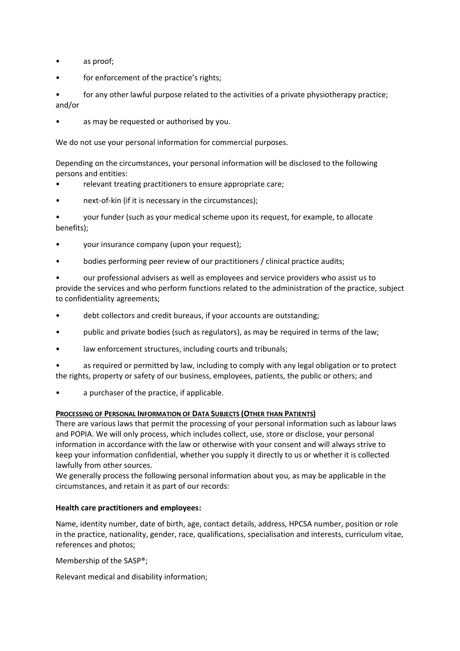- as proof;
- for enforcement of the practice's rights;
- for any other lawful purpose related to the activities of a private physiotherapy practice; and/or
- as may be requested or authorised by you.

We do not use your personal information for commercial purposes.

Depending on the circumstances, your personal information will be disclosed to the following persons and entities:

- relevant treating practitioners to ensure appropriate care;
- next-of-kin (if it is necessary in the circumstances);

• your funder (such as your medical scheme upon its request, for example, to allocate benefits);

- your insurance company (upon your request);
- bodies performing peer review of our practitioners / clinical practice audits;

• our professional advisers as well as employees and service providers who assist us to provide the services and who perform functions related to the administration of the practice, subject to confidentiality agreements;

- debt collectors and credit bureaus, if your accounts are outstanding;
- public and private bodies (such as regulators), as may be required in terms of the law;
- law enforcement structures, including courts and tribunals;
- as required or permitted by law, including to comply with any legal obligation or to protect the rights, property or safety of our business, employees, patients, the public or others; and
- a purchaser of the practice, if applicable.

# **PROCESSING OF PERSONAL INFORMATION OF DATA SUBJECTS (OTHER THAN PATIENTS)**

There are various laws that permit the processing of your personal information such as labour laws and POPIA. We will only process, which includes collect, use, store or disclose, your personal information in accordance with the law or otherwise with your consent and will always strive to keep your information confidential, whether you supply it directly to us or whether it is collected lawfully from other sources.

We generally process the following personal information about you, as may be applicable in the circumstances, and retain it as part of our records:

# **Health care practitioners and employees:**

Name, identity number, date of birth, age, contact details, address, HPCSA number, position or role in the practice, nationality, gender, race, qualifications, specialisation and interests, curriculum vitae, references and photos;

Membership of the SASP®;

Relevant medical and disability information;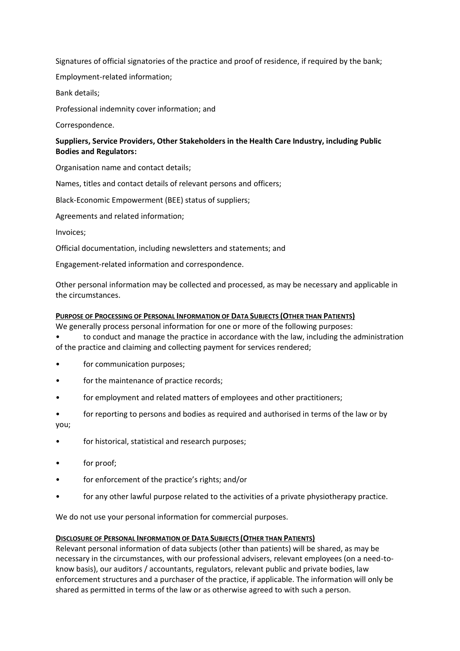Signatures of official signatories of the practice and proof of residence, if required by the bank;

Employment-related information;

Bank details;

Professional indemnity cover information; and

Correspondence.

# **Suppliers, Service Providers, Other Stakeholders in the Health Care Industry, including Public Bodies and Regulators:**

Organisation name and contact details;

Names, titles and contact details of relevant persons and officers;

Black-Economic Empowerment (BEE) status of suppliers;

Agreements and related information;

Invoices;

Official documentation, including newsletters and statements; and

Engagement-related information and correspondence.

Other personal information may be collected and processed, as may be necessary and applicable in the circumstances.

# **PURPOSE OF PROCESSING OF PERSONAL INFORMATION OF DATA SUBJECTS (OTHER THAN PATIENTS)**

We generally process personal information for one or more of the following purposes:

• to conduct and manage the practice in accordance with the law, including the administration of the practice and claiming and collecting payment for services rendered;

- for communication purposes;
- for the maintenance of practice records;
- for employment and related matters of employees and other practitioners;
- for reporting to persons and bodies as required and authorised in terms of the law or by you;
- for historical, statistical and research purposes;
- for proof:
- for enforcement of the practice's rights; and/or
- for any other lawful purpose related to the activities of a private physiotherapy practice.

We do not use your personal information for commercial purposes.

# **DISCLOSURE OF PERSONAL INFORMATION OF DATA SUBJECTS (OTHER THAN PATIENTS)**

Relevant personal information of data subjects (other than patients) will be shared, as may be necessary in the circumstances, with our professional advisers, relevant employees (on a need-toknow basis), our auditors / accountants, regulators, relevant public and private bodies, law enforcement structures and a purchaser of the practice, if applicable. The information will only be shared as permitted in terms of the law or as otherwise agreed to with such a person.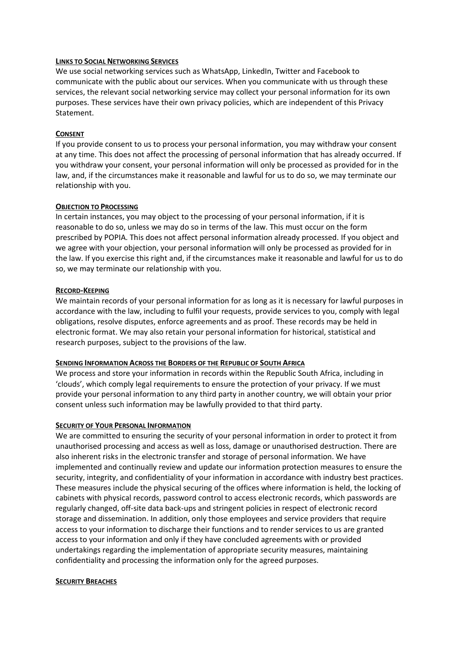### **LINKS TO SOCIAL NETWORKING SERVICES**

We use social networking services such as WhatsApp, LinkedIn, Twitter and Facebook to communicate with the public about our services. When you communicate with us through these services, the relevant social networking service may collect your personal information for its own purposes. These services have their own privacy policies, which are independent of this Privacy Statement.

# **CONSENT**

If you provide consent to us to process your personal information, you may withdraw your consent at any time. This does not affect the processing of personal information that has already occurred. If you withdraw your consent, your personal information will only be processed as provided for in the law, and, if the circumstances make it reasonable and lawful for us to do so, we may terminate our relationship with you.

### **OBJECTION TO PROCESSING**

In certain instances, you may object to the processing of your personal information, if it is reasonable to do so, unless we may do so in terms of the law. This must occur on the form prescribed by POPIA. This does not affect personal information already processed. If you object and we agree with your objection, your personal information will only be processed as provided for in the law. If you exercise this right and, if the circumstances make it reasonable and lawful for us to do so, we may terminate our relationship with you.

# **RECORD-KEEPING**

We maintain records of your personal information for as long as it is necessary for lawful purposes in accordance with the law, including to fulfil your requests, provide services to you, comply with legal obligations, resolve disputes, enforce agreements and as proof. These records may be held in electronic format. We may also retain your personal information for historical, statistical and research purposes, subject to the provisions of the law.

# **SENDING INFORMATION ACROSS THE BORDERS OF THE REPUBLIC OF SOUTH AFRICA**

We process and store your information in records within the Republic South Africa, including in 'clouds', which comply legal requirements to ensure the protection of your privacy. If we must provide your personal information to any third party in another country, we will obtain your prior consent unless such information may be lawfully provided to that third party.

# **SECURITY OF YOUR PERSONAL INFORMATION**

We are committed to ensuring the security of your personal information in order to protect it from unauthorised processing and access as well as loss, damage or unauthorised destruction. There are also inherent risks in the electronic transfer and storage of personal information. We have implemented and continually review and update our information protection measures to ensure the security, integrity, and confidentiality of your information in accordance with industry best practices. These measures include the physical securing of the offices where information is held, the locking of cabinets with physical records, password control to access electronic records, which passwords are regularly changed, off-site data back-ups and stringent policies in respect of electronic record storage and dissemination. In addition, only those employees and service providers that require access to your information to discharge their functions and to render services to us are granted access to your information and only if they have concluded agreements with or provided undertakings regarding the implementation of appropriate security measures, maintaining confidentiality and processing the information only for the agreed purposes.

#### **SECURITY BREACHES**